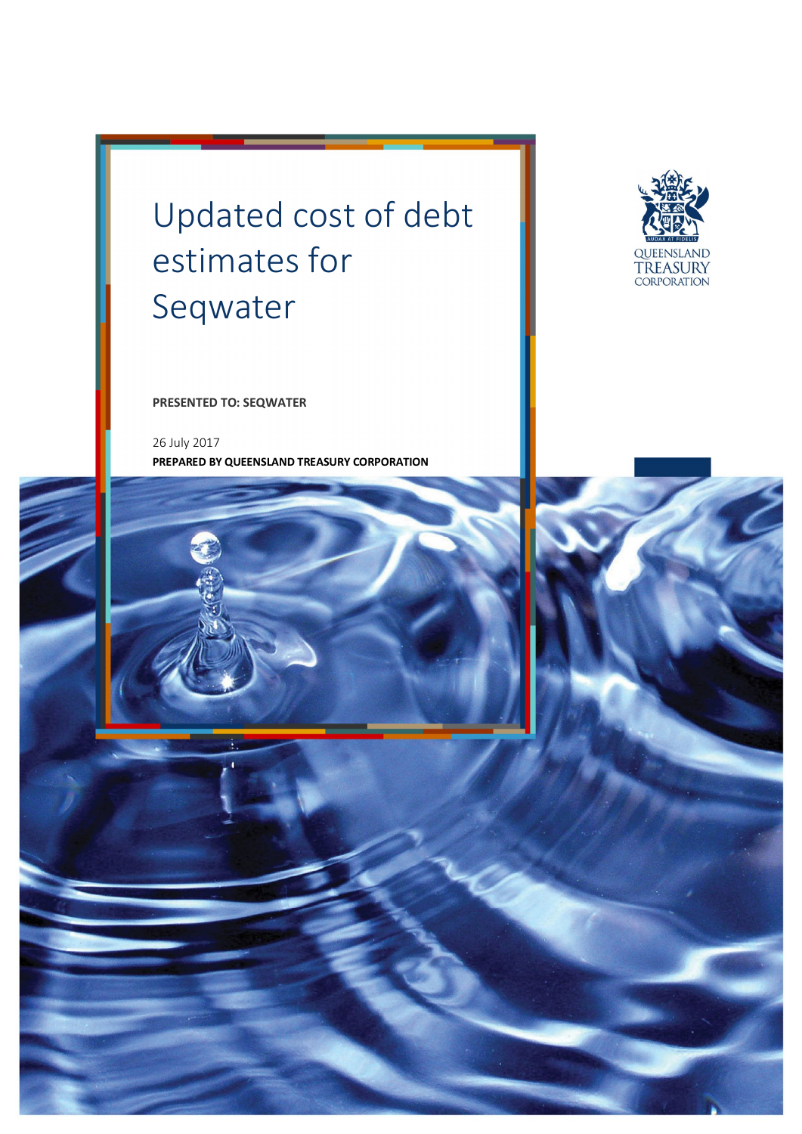# Updated cost of debt estimates for Seqwater



**PRESENTED TO: SEQWATER** 

26 July 2017 **PREPARED BY QUEENSLAND TREASURY CORPORATION** 

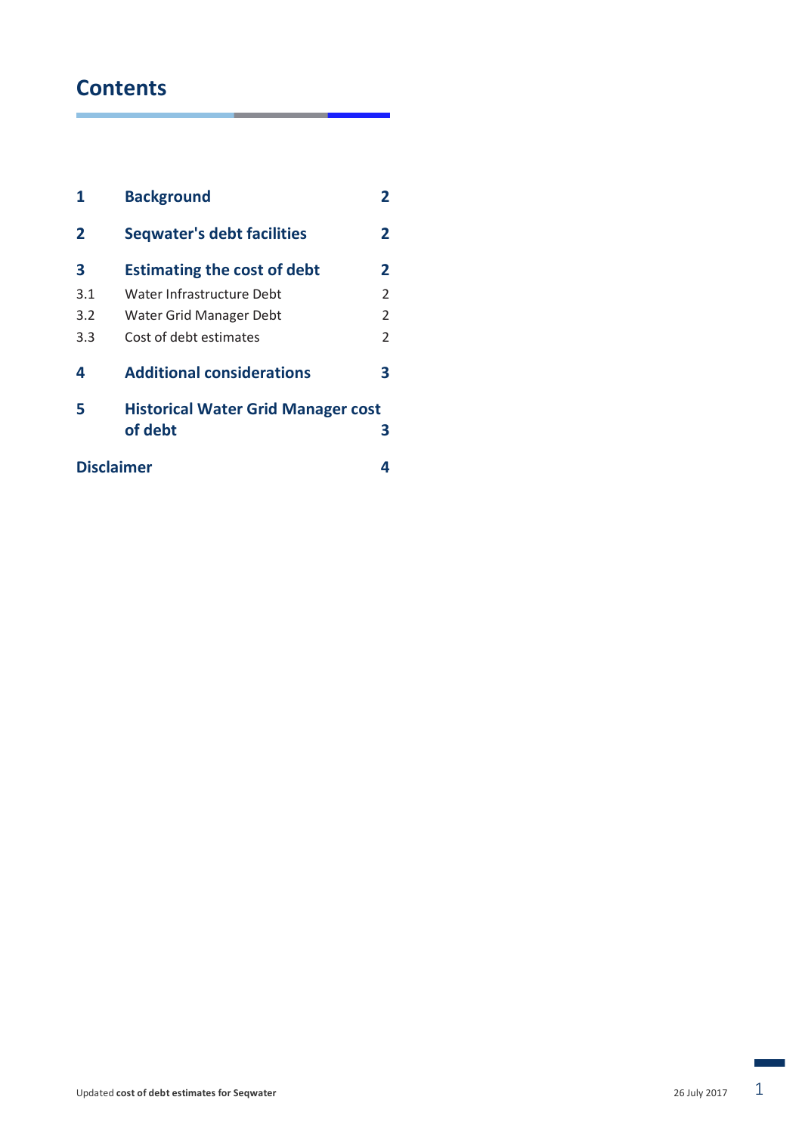# **Contents**

| 1   | <b>Background</b>                         | 2 |  |
|-----|-------------------------------------------|---|--|
| 2   | <b>Seqwater's debt facilities</b>         | 2 |  |
| З   | <b>Estimating the cost of debt</b>        | 2 |  |
| 3.1 | Water Infrastructure Debt                 | 2 |  |
| 3.2 | Water Grid Manager Debt                   | 2 |  |
| 3.3 | Cost of debt estimates                    | 2 |  |
| 4   | <b>Additional considerations</b>          | З |  |
| 5   | <b>Historical Water Grid Manager cost</b> |   |  |
|     | of debt                                   | З |  |
|     | <b>Disclaimer</b>                         |   |  |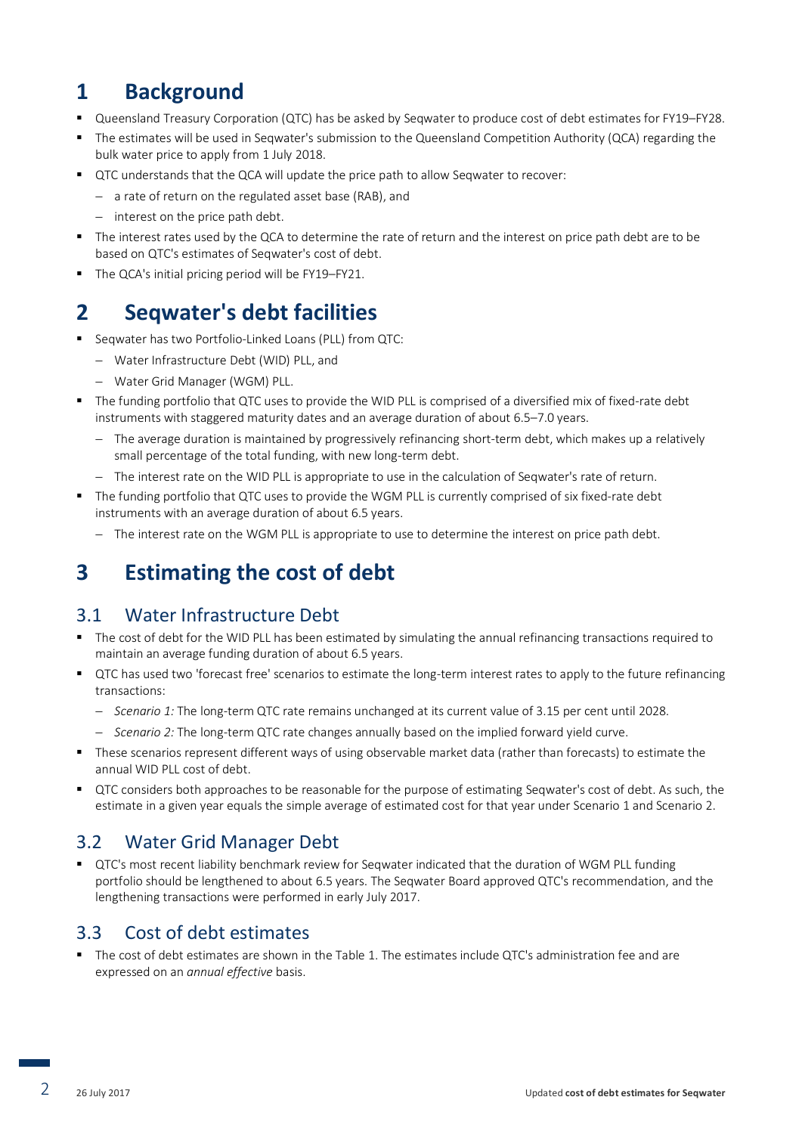## **1 Background**

- Queensland Treasury Corporation (QTC) has be asked by Seqwater to produce cost of debt estimates for FY19–FY28.
- The estimates will be used in Seqwater's submission to the Queensland Competition Authority (QCA) regarding the bulk water price to apply from 1 July 2018.
- QTC understands that the QCA will update the price path to allow Seqwater to recover:
	- a rate of return on the regulated asset base (RAB), and
	- $-$  interest on the price path debt.
- The interest rates used by the QCA to determine the rate of return and the interest on price path debt are to be based on QTC's estimates of Seqwater's cost of debt.
- The QCA's initial pricing period will be FY19–FY21.

# **2 Seqwater's debt facilities**

- Seqwater has two Portfolio-Linked Loans (PLL) from QTC:
	- Water Infrastructure Debt (WID) PLL, and
	- Water Grid Manager (WGM) PLL.
- The funding portfolio that QTC uses to provide the WID PLL is comprised of a diversified mix of fixed-rate debt instruments with staggered maturity dates and an average duration of about 6.5–7.0 years.
	- The average duration is maintained by progressively refinancing short-term debt, which makes up a relatively small percentage of the total funding, with new long-term debt.
	- The interest rate on the WID PLL is appropriate to use in the calculation of Seqwater's rate of return.
- The funding portfolio that QTC uses to provide the WGM PLL is currently comprised of six fixed-rate debt instruments with an average duration of about 6.5 years.
	- The interest rate on the WGM PLL is appropriate to use to determine the interest on price path debt.

# **3 Estimating the cost of debt**

#### 3.1 Water Infrastructure Debt

- The cost of debt for the WID PLL has been estimated by simulating the annual refinancing transactions required to maintain an average funding duration of about 6.5 years.
- QTC has used two 'forecast free' scenarios to estimate the long-term interest rates to apply to the future refinancing transactions:
	- *Scenario 1:* The long-term QTC rate remains unchanged at its current value of 3.15 per cent until 2028.
	- *Scenario 2:* The long-term QTC rate changes annually based on the implied forward yield curve.
- These scenarios represent different ways of using observable market data (rather than forecasts) to estimate the annual WID PLL cost of debt.
- QTC considers both approaches to be reasonable for the purpose of estimating Seqwater's cost of debt. As such, the estimate in a given year equals the simple average of estimated cost for that year under Scenario 1 and Scenario 2.

#### 3.2 Water Grid Manager Debt

 QTC's most recent liability benchmark review for Seqwater indicated that the duration of WGM PLL funding portfolio should be lengthened to about 6.5 years. The Seqwater Board approved QTC's recommendation, and the lengthening transactions were performed in early July 2017.

#### 3.3 Cost of debt estimates

 The cost of debt estimates are shown in the Table 1. The estimates include QTC's administration fee and are expressed on an *annual effective* basis.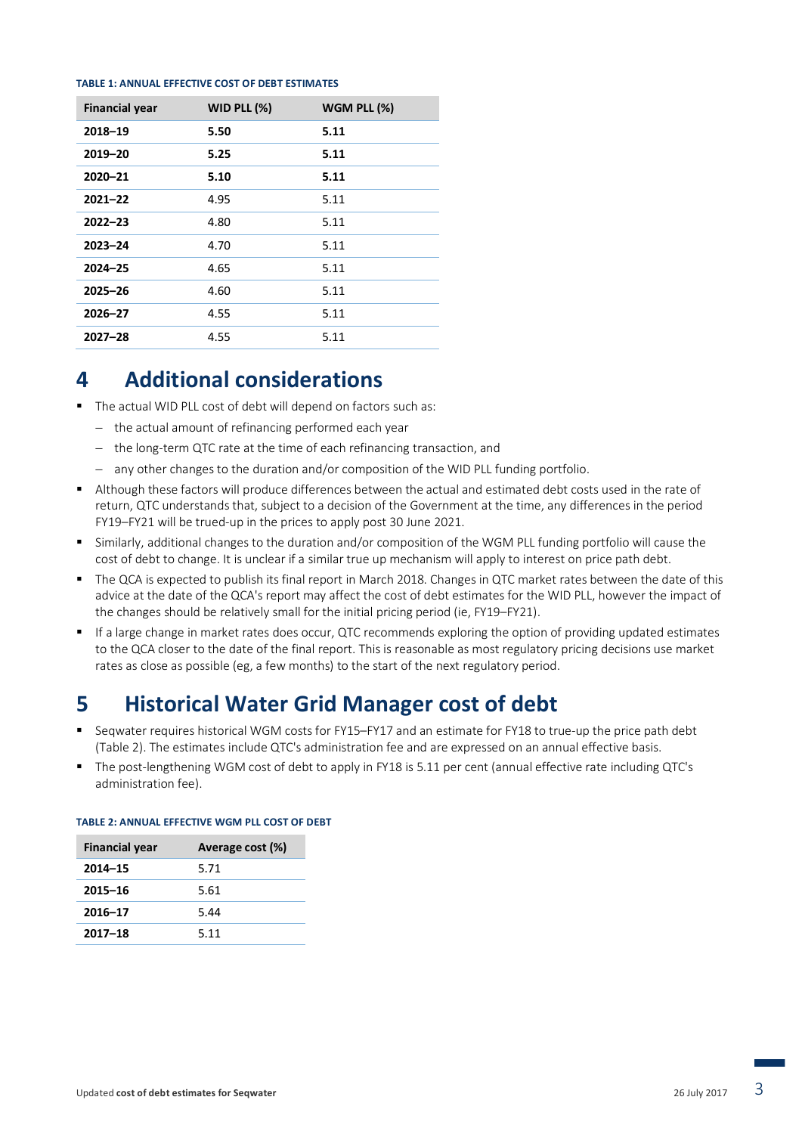#### **TABLE 1: ANNUAL EFFECTIVE COST OF DEBT ESTIMATES**

| <b>Financial year</b> | WID PLL $(\%)$ | WGM PLL $(\%)$ |
|-----------------------|----------------|----------------|
| 2018-19               | 5.50           | 5.11           |
| 2019-20               | 5.25           | 5.11           |
| $2020 - 21$           | 5.10           | 5.11           |
| $2021 - 22$           | 4.95           | 5.11           |
| $2022 - 23$           | 4.80           | 5.11           |
| $2023 - 24$           | 4.70           | 5.11           |
| $2024 - 25$           | 4.65           | 5.11           |
| $2025 - 26$           | 4.60           | 5.11           |
| $2026 - 27$           | 4.55           | 5.11           |
| $2027 - 28$           | 4.55           | 5.11           |

### **4 Additional considerations**

- The actual WID PLL cost of debt will depend on factors such as:
	- the actual amount of refinancing performed each year
	- the long-term QTC rate at the time of each refinancing transaction, and
	- any other changes to the duration and/or composition of the WID PLL funding portfolio.
- Although these factors will produce differences between the actual and estimated debt costs used in the rate of return, QTC understands that, subject to a decision of the Government at the time, any differences in the period FY19–FY21 will be trued-up in the prices to apply post 30 June 2021.
- Similarly, additional changes to the duration and/or composition of the WGM PLL funding portfolio will cause the cost of debt to change. It is unclear if a similar true up mechanism will apply to interest on price path debt.
- The QCA is expected to publish its final report in March 2018. Changes in QTC market rates between the date of this advice at the date of the QCA's report may affect the cost of debt estimates for the WID PLL, however the impact of the changes should be relatively small for the initial pricing period (ie, FY19–FY21).
- If a large change in market rates does occur, QTC recommends exploring the option of providing updated estimates to the QCA closer to the date of the final report. This is reasonable as most regulatory pricing decisions use market rates as close as possible (eg, a few months) to the start of the next regulatory period.

## **5 Historical Water Grid Manager cost of debt**

- Seqwater requires historical WGM costs for FY15–FY17 and an estimate for FY18 to true-up the price path debt (Table 2). The estimates include QTC's administration fee and are expressed on an annual effective basis.
- The post-lengthening WGM cost of debt to apply in FY18 is 5.11 per cent (annual effective rate including QTC's administration fee).

| <b>Financial year</b> | Average cost (%) |
|-----------------------|------------------|
| $2014 - 15$           | 5.71             |
| $2015 - 16$           | 5.61             |
| $2016 - 17$           | 5.44             |
| $2017 - 18$           | 5.11             |

#### **TABLE 2: ANNUAL EFFECTIVE WGM PLL COST OF DEBT**